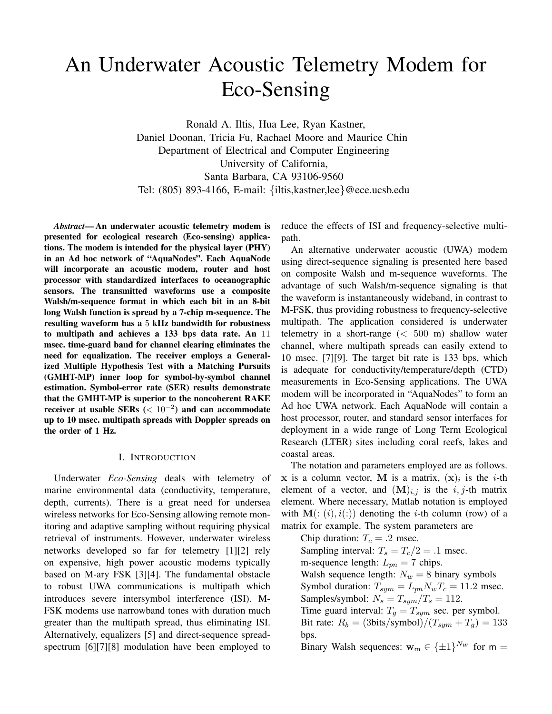# An Underwater Acoustic Telemetry Modem for Eco-Sensing

Ronald A. Iltis, Hua Lee, Ryan Kastner, Daniel Doonan, Tricia Fu, Rachael Moore and Maurice Chin Department of Electrical and Computer Engineering University of California, Santa Barbara, CA 93106-9560 Tel: (805) 893-4166, E-mail: {iltis,kastner,lee}@ece.ucsb.edu

*Abstract*— An underwater acoustic telemetry modem is presented for ecological research (Eco-sensing) applications. The modem is intended for the physical layer (PHY) in an Ad hoc network of "AquaNodes". Each AquaNode will incorporate an acoustic modem, router and host processor with standardized interfaces to oceanographic sensors. The transmitted waveforms use a composite Walsh/m-sequence format in which each bit in an 8-bit long Walsh function is spread by a 7-chip m-sequence. The resulting waveform has a 5 kHz bandwidth for robustness to multipath and achieves a 133 bps data rate. An 11 msec. time-guard band for channel clearing eliminates the need for equalization. The receiver employs a Generalized Multiple Hypothesis Test with a Matching Pursuits (GMHT-MP) inner loop for symbol-by-symbol channel estimation. Symbol-error rate (SER) results demonstrate that the GMHT-MP is superior to the noncoherent RAKE receiver at usable SERs (< <sup>10</sup>*−*<sup>2</sup>) and can accommodate up to 10 msec. multipath spreads with Doppler spreads on the order of 1 Hz.

## I. INTRODUCTION

Underwater *Eco-Sensing* deals with telemetry of marine environmental data (conductivity, temperature, depth, currents). There is a great need for undersea wireless networks for Eco-Sensing allowing remote monitoring and adaptive sampling without requiring physical retrieval of instruments. However, underwater wireless networks developed so far for telemetry [1][2] rely on expensive, high power acoustic modems typically based on M-ary FSK [3][4]. The fundamental obstacle to robust UWA communications is multipath which introduces severe intersymbol interference (ISI). M-FSK modems use narrowband tones with duration much greater than the multipath spread, thus eliminating ISI. Alternatively, equalizers [5] and direct-sequence spreadspectrum [6][7][8] modulation have been employed to reduce the effects of ISI and frequency-selective multipath.

An alternative underwater acoustic (UWA) modem using direct-sequence signaling is presented here based on composite Walsh and m-sequence waveforms. The advantage of such Walsh/m-sequence signaling is that the waveform is instantaneously wideband, in contrast to M-FSK, thus providing robustness to frequency-selective multipath. The application considered is underwater telemetry in a short-range  $( $500 \text{ m}$ )$  shallow water channel, where multipath spreads can easily extend to 10 msec. [7][9]. The target bit rate is 133 bps, which is adequate for conductivity/temperature/depth (CTD) measurements in Eco-Sensing applications. The UWA modem will be incorporated in "AquaNodes" to form an Ad hoc UWA network. Each AquaNode will contain a host processor, router, and standard sensor interfaces for deployment in a wide range of Long Term Ecological Research (LTER) sites including coral reefs, lakes and coastal areas.

The notation and parameters employed are as follows. **x** is a column vector, **M** is a matrix,  $(\mathbf{x})_i$  is the *i*-th element of a vector, and  $(M)_{i,j}$  is the  $i, j$ -th matrix element. Where necessary, Matlab notation is employed with  $\mathbf{M}(:, i), i(:)$  denoting the *i*-th column (row) of a matrix for example. The system parameters are

Chip duration:  $T_c = .2$  msec. Sampling interval:  $T_s = T_c/2 = .1$  msec. m-sequence length:  $L_{pn} = 7$  chips. Walsh sequence length:  $N_w = 8$  binary symbols Symbol duration:  $T_{sym} = L_{pn} N_w T_c = 11.2$  msec. Samples/symbol:  $N_s = T_{sym}/T_s = 112$ . Time guard interval:  $T_q = T_{sym}$  sec. per symbol. Bit rate:  $R_b = (3 \text{bits/symbol})/(T_{sym} + T_g) = 133$ bps. Binary Walsh sequences:  $\mathbf{w}_m \in {\{\pm 1\}}^{N_W}$  for  $m =$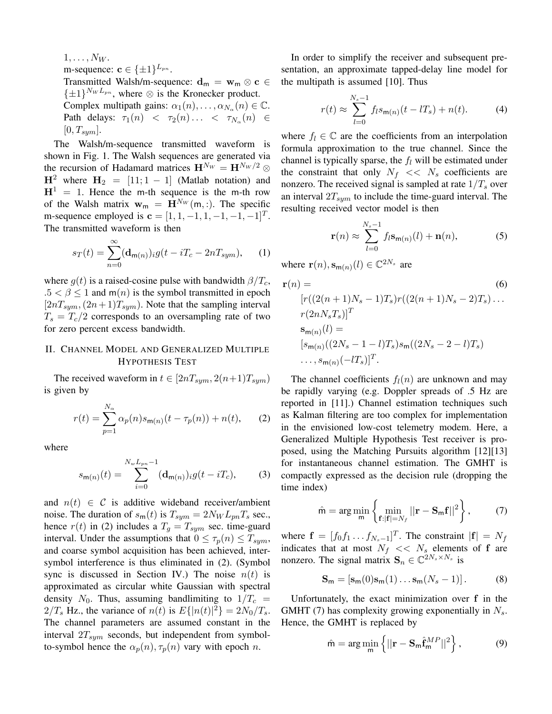$1,\ldots,N_W$ . m-sequence: **c**  $\in \{\pm 1\}^{L_{pn}}$ . Transmitted Walsh/m-sequence:  $\mathbf{d}_m = \mathbf{w}_m \otimes \mathbf{c} \in$  $\{\pm 1\}^{N_W L_{pn}}$ , where  $\otimes$  is the Kronecker product. Complex multipath gains:  $\alpha_1(n), \ldots, \alpha_{N_\alpha}(n) \in \mathbb{C}$ . Path delays:  $\tau_1(n)$  <  $\tau_2(n)$ ... <  $\tau_{N_\alpha}(n)$   $\in$  $[0, T_{sym}].$ 

The Walsh/m-sequence transmitted waveform is shown in Fig. 1. The Walsh sequences are generated via the recursion of Hadamard matrices  $\mathbf{H}^{N_W} = \mathbf{H}^{N_W/2} \otimes$  $H^2$  where  $H_2 = [11; 1 - 1]$  (Matlab notation) and  $H<sup>1</sup> = 1$ . Hence the m-th sequence is the m-th row of the Walsh matrix  $w_m = H^{N_W}(m, :)$ . The specific m-sequence employed is  $\mathbf{c} = [1, 1, -1, 1, -1, -1, -1]^T$ . The transmitted waveform is then

$$
s_T(t) = \sum_{n=0}^{\infty} (\mathbf{d}_{m(n)})_{i} g(t - iT_c - 2nT_{sym}), \quad (1)
$$

where  $g(t)$  is a raised-cosine pulse with bandwidth  $\beta/T_c$ ,  $.5 < \beta \leq 1$  and m(n) is the symbol transmitted in epoch  $[2nT<sub>sum</sub>, (2n + 1)T<sub>sym</sub>)$ . Note that the sampling interval  $T_s = T_c/2$  corresponds to an oversampling rate of two for zero percent excess bandwidth.

# II. CHANNEL MODEL AND GENERALIZED MULTIPLE HYPOTHESIS TEST

The received waveform in  $t \in [2nT_{sym}, 2(n+1)T_{sym})$ is given by

$$
r(t) = \sum_{p=1}^{N_{\alpha}} \alpha_p(n) s_{m(n)}(t - \tau_p(n)) + n(t), \qquad (2)
$$

where

$$
s_{\mathsf{m}(n)}(t) = \sum_{i=0}^{N_w L_{pn} - 1} (\mathbf{d}_{\mathsf{m}(n)})_i g(t - iT_c), \tag{3}
$$

and  $n(t) \in \mathcal{C}$  is additive wideband receiver/ambient noise. The duration of  $s_m(t)$  is  $T_{sym} = 2N_W L_{pn} T_s$  sec., hence  $r(t)$  in (2) includes a  $T_g = T_{sym}$  sec. time-guard interval. Under the assumptions that  $0 \leq \tau_p(n) \leq T_{sum}$ , and coarse symbol acquisition has been achieved, intersymbol interference is thus eliminated in (2). (Symbol sync is discussed in Section IV.) The noise  $n(t)$  is approximated as circular white Gaussian with spectral density  $N_0$ . Thus, assuming bandlimiting to  $1/T_c$  =  $2/T_s$  Hz., the variance of  $n(t)$  is  $E\{|n(t)|^2\} = 2N_0/T_s$ .<br>The channel parameters are assumed constant in the The channel parameters are assumed constant in the interval  $2T_{sym}$  seconds, but independent from symbolto-symbol hence the  $\alpha_p(n), \tau_p(n)$  vary with epoch n.

In order to simplify the receiver and subsequent presentation, an approximate tapped-delay line model for the multipath is assumed [10]. Thus

$$
r(t) \approx \sum_{l=0}^{N_s - 1} f_l s_{m(n)}(t - lT_s) + n(t).
$$
 (4)

where  $f_l \in \mathbb{C}$  are the coefficients from an interpolation formula approximation to the true channel. Since the channel is typically sparse, the  $f_l$  will be estimated under the constraint that only  $N_f \ll N_s$  coefficients are nonzero. The received signal is sampled at rate  $1/T_s$  over an interval  $2T_{sym}$  to include the time-guard interval. The resulting received vector model is then

$$
\mathbf{r}(n) \approx \sum_{l=0}^{N_s - 1} f_l \mathbf{s}_{\mathbf{m}(n)}(l) + \mathbf{n}(n),
$$
 (5)

where  $\mathbf{r}(n), \mathbf{s}_{\mathbf{m}(n)}(l) \in \mathbb{C}^{2N_s}$  are

$$
\mathbf{r}(n) = \qquad (6)
$$
\n
$$
[r((2(n+1)N_s - 1)T_s)r((2(n+1)N_s - 2)T_s)...
$$
\n
$$
r(2nN_sT_s)]^T
$$
\n
$$
\mathbf{s}_{\mathbf{m}(n)}(l) =
$$
\n
$$
[s_{\mathbf{m}(n)}((2N_s - 1 - l)T_s)s_{\mathbf{m}}((2N_s - 2 - l)T_s)
$$
\n
$$
..., s_{\mathbf{m}(n)}(-lT_s)]^T.
$$
\n(6)

The channel coefficients  $f_l(n)$  are unknown and may be rapidly varying (e.g. Doppler spreads of .5 Hz are reported in [11].) Channel estimation techniques such as Kalman filtering are too complex for implementation in the envisioned low-cost telemetry modem. Here, a Generalized Multiple Hypothesis Test receiver is proposed, using the Matching Pursuits algorithm [12][13] for instantaneous channel estimation. The GMHT is compactly expressed as the decision rule (dropping the time index)

$$
\hat{\mathsf{m}} = \arg\min_{\mathsf{m}} \left\{ \min_{\mathbf{f}:|\mathbf{f}|=N_f} ||\mathbf{r} - \mathbf{S}_{\mathsf{m}}\mathbf{f}||^2 \right\},\tag{7}
$$

where  $\mathbf{f} = [f_0 f_1 \dots f_{N_s-1}]^T$ . The constraint  $|\mathbf{f}| = N_f$ <br>indicates that at most  $N_f \ll N_f$  elements of f are indicates that at most  $N_f \ll N_s$  elements of **f** are nonzero. The signal matrix  $\mathbf{S}_n \in \mathbb{C}^{2N_s \times N_s}$  is

$$
\mathbf{S}_{\mathsf{m}} = [\mathbf{s}_{\mathsf{m}}(0)\mathbf{s}_{\mathsf{m}}(1)\dots\mathbf{s}_{\mathsf{m}}(N_s-1)].
$$
 (8)

Unfortunately, the exact minimization over **f** in the GMHT (7) has complexity growing exponentially in  $N_s$ . Hence, the GMHT is replaced by

$$
\hat{\mathsf{m}} = \arg\min_{\mathsf{m}} \left\{ ||\mathbf{r} - \mathbf{S}_{\mathsf{m}} \hat{\mathbf{f}}_{\mathsf{m}}^{MP}||^2 \right\},\tag{9}
$$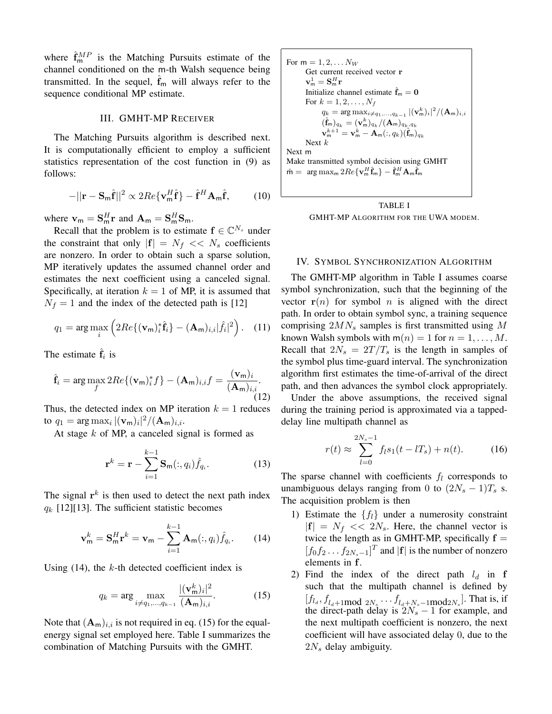where  $\hat{\mathbf{f}}_m^{MP}$  is the Matching Pursuits estimate of the channel conditioned on the m-th Walsh sequence being transmitted. In the sequel,  $\hat{f}_m$  will always refer to the sequence conditional MP estimate.

## III. GMHT-MP RECEIVER

The Matching Pursuits algorithm is described next. It is computationally efficient to employ a sufficient statistics representation of the cost function in (9) as follows:

$$
-||\mathbf{r} - \mathbf{S}_m \hat{\mathbf{f}}||^2 \propto 2Re\{\mathbf{v}_m^H \hat{\mathbf{f}}\} - \hat{\mathbf{f}}^H \mathbf{A}_m \hat{\mathbf{f}},
$$
 (10)

where  $\mathbf{v}_{\mathsf{m}} = \mathbf{S}_{\mathsf{m}}^H \mathbf{r}$  and  $\mathbf{A}_{\mathsf{m}} = \mathbf{S}_{\mathsf{m}}^H \mathbf{S}_{\mathsf{m}}$ .

Recall that the problem is to estimate  $f \in \mathbb{C}^{N_s}$  under the constraint that only  $|\mathbf{f}| = N_f \ll N_s$  coefficients are nonzero. In order to obtain such a sparse solution, MP iteratively updates the assumed channel order and estimates the next coefficient using a canceled signal. Specifically, at iteration  $k = 1$  of MP, it is assumed that  $N_f = 1$  and the index of the detected path is [12]

$$
q_1 = \arg\max_{i} \left( 2Re\{ (\mathbf{v}_{\mathsf{m}})_i^* \hat{\mathbf{f}}_i \} - (\mathbf{A}_{\mathsf{m}})_{i,i} |\hat{f}_i|^2 \right). \quad (11)
$$

The estimate  $\hat{\mathbf{f}}_i$  is

$$
\hat{\mathbf{f}}_i = \arg \max_{f} 2Re\{(\mathbf{v}_m)_i^* f\} - (\mathbf{A}_m)_{i,i} f = \frac{(\mathbf{v}_m)_i}{(\mathbf{A}_m)_{i,i}}.
$$
\n(12)

Thus, the detected index on MP iteration  $k = 1$  reduces to  $q_1 = \arg \max_i |(\mathbf{v}_m)_i|^2 / (\mathbf{A}_m)_{i,i}.$ <br>At store *h* of MP a conceled site

At stage  $k$  of MP, a canceled signal is formed as

$$
\mathbf{r}^{k} = \mathbf{r} - \sum_{i=1}^{k-1} \mathbf{S}_{\mathsf{m}}(:,q_i) \hat{f}_{q_i}.
$$
 (13)

The signal  $r^k$  is then used to detect the next path index  $q_k$  [12][13]. The sufficient statistic becomes

$$
\mathbf{v}_{\mathsf{m}}^k = \mathbf{S}_{\mathsf{m}}^H \mathbf{r}^k = \mathbf{v}_{\mathsf{m}} - \sum_{i=1}^{k-1} \mathbf{A}_{\mathsf{m}}(:,q_i) \hat{f}_{q_i}.
$$
 (14)

Using  $(14)$ , the k-th detected coefficient index is

$$
q_k = \arg \max_{i \neq q_1, \dots, q_{k-1}} \frac{|(\mathbf{v}_m^k)_i|^2}{(\mathbf{A}_m)_{i,i}}.
$$
 (15)

Note that  $(A_m)_{i,i}$  is not required in eq. (15) for the equalenergy signal set employed here. Table I summarizes the combination of Matching Pursuits with the GMHT.

For 
$$
m = 1, 2, \ldots N_W
$$
   
\nGet current received vector  $\mathbf{r}$   $\mathbf{v}_m^1 = \mathbf{S}_m^H \mathbf{r}$    
\nInitialize channel estimate  $\hat{\mathbf{f}}_m = \mathbf{0}$    
\nFor  $k = 1, 2, \ldots, N_f$    
\n $q_k = \arg \max_{i \neq q_1, \ldots, q_{k-1}} |(\mathbf{v}_m^k)_i|^2 / (\mathbf{A}_m)_{i,i}$    
\n $(\hat{\mathbf{f}}_m)_{q_k} = (\mathbf{v}_m^k)_{q_k} / (\mathbf{A}_m)_{q_k, q_k}$    
\n $\mathbf{v}_m^{k+1} = \mathbf{v}_m^k - \mathbf{A}_m(:, q_k)(\hat{\mathbf{f}}_m)_{q_k}$    
\nNext  $k$    
\nMake transmitted symbol decision using GMHT   
\n $\hat{\mathbf{m}} = \arg \max_m 2Re\{\mathbf{v}_m^H \hat{\mathbf{f}}_m\} - \hat{\mathbf{f}}_m^H \mathbf{A}_m \hat{\mathbf{f}}_m$ 



## IV. SYMBOL SYNCHRONIZATION ALGORITHM

The GMHT-MP algorithm in Table I assumes coarse symbol synchronization, such that the beginning of the vector  $r(n)$  for symbol *n* is aligned with the direct path. In order to obtain symbol sync, a training sequence comprising  $2MN_s$  samples is first transmitted using M known Walsh symbols with  $m(n)=1$  for  $n = 1,\ldots,M$ . Recall that  $2N_s = 2T/T_s$  is the length in samples of the symbol plus time-guard interval. The synchronization algorithm first estimates the time-of-arrival of the direct path, and then advances the symbol clock appropriately.

Under the above assumptions, the received signal during the training period is approximated via a tappeddelay line multipath channel as

$$
r(t) \approx \sum_{l=0}^{2N_s - 1} f_l s_1(t - lT_s) + n(t).
$$
 (16)

The sparse channel with coefficients  $f_l$  corresponds to unambiguous delays ranging from 0 to  $(2N_s - 1)T_s$  s. The acquisition problem is then

- 1) Estimate the  $\{f_l\}$  under a numerosity constraint  $|{\bf f}| = N_f \ll 2N_s$ . Here, the channel vector is twice the length as in GMHT-MP, specifically  $f =$  $[f_0f_2 \tldots f_{2N_s-1}]^T$  and  $|\mathbf{f}|$  is the number of nonzero elements in **f**.
- 2) Find the index of the direct path  $l_d$  in **f** such that the multipath channel is defined by  $[f_{l_d}, f_{l_d+1} \mod 2N_s \cdots f_{l_d+N_s-1} \mod 2N_s]$ . That is, if the direct-path delay is  $2N_s - 1$  for example, and<br>the next multipath coefficient is nonzero, the next the next multipath coefficient is nonzero, the next coefficient will have associated delay 0, due to the  $2N_s$  delay ambiguity.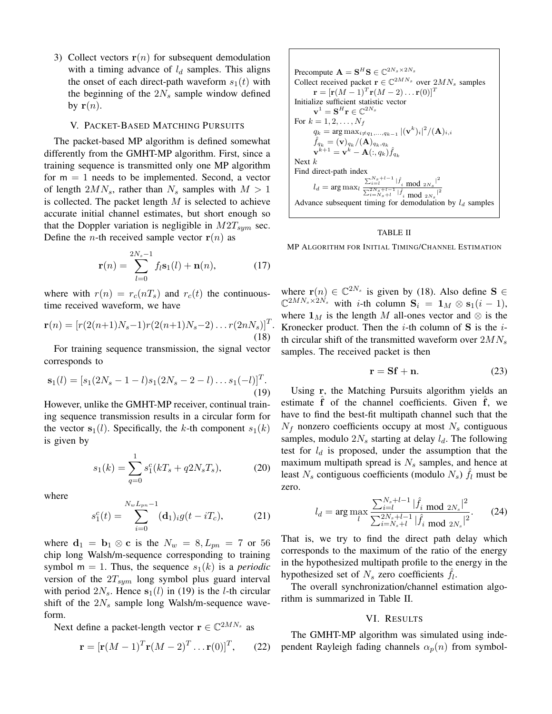3) Collect vectors  $r(n)$  for subsequent demodulation with a timing advance of  $l_d$  samples. This aligns the onset of each direct-path waveform  $s_1(t)$  with the beginning of the  $2N_s$  sample window defined by  $\mathbf{r}(n)$ .

#### V. PACKET-BASED MATCHING PURSUITS

The packet-based MP algorithm is defined somewhat differently from the GMHT-MP algorithm. First, since a training sequence is transmitted only one MP algorithm for  $m = 1$  needs to be implemented. Second, a vector of length  $2MN_s$ , rather than  $N_s$  samples with  $M > 1$ is collected. The packet length  $M$  is selected to achieve accurate initial channel estimates, but short enough so that the Doppler variation is negligible in  $M2T_{sym}$  sec. Define the *n*-th received sample vector  $r(n)$  as

$$
\mathbf{r}(n) = \sum_{l=0}^{2N_s - 1} f_l \mathbf{s}_1(l) + \mathbf{n}(n), \qquad (17)
$$

where with  $r(n) = r_c(nT_s)$  and  $r_c(t)$  the continuoustime received waveform, we have

$$
\mathbf{r}(n) = [r(2(n+1)N_s - 1)r(2(n+1)N_s - 2)...r(2nN_s)]^T.
$$
\n(18)

For training sequence transmission, the signal vector corresponds to

$$
\mathbf{s}_1(l) = [s_1(2N_s - 1 - l)s_1(2N_s - 2 - l)...s_1(-l)]^T.
$$
\n(19)

However, unlike the GMHT-MP receiver, continual training sequence transmission results in a circular form for the vector  $s_1(l)$ . Specifically, the k-th component  $s_1(k)$ is given by

$$
s_1(k) = \sum_{q=0}^{1} s_1^c(kT_s + q2N_sT_s),
$$
 (20)

where

$$
s_1^c(t) = \sum_{i=0}^{N_w L_{pn} - 1} (\mathbf{d}_1)_{i} g(t - iT_c), \tag{21}
$$

where  $\mathbf{d}_1 = \mathbf{b}_1 \otimes \mathbf{c}$  is the  $N_w = 8, L_{pn} = 7$  or 56 chip long Walsh/m-sequence corresponding to training symbol m = 1. Thus, the sequence  $s_1(k)$  is a *periodic* version of the  $2T_{sym}$  long symbol plus guard interval with period  $2N_s$ . Hence  $s_1(l)$  in (19) is the *l*-th circular shift of the  $2N_s$  sample long Walsh/m-sequence waveform.

Next define a packet-length vector  $\mathbf{r} \in \mathbb{C}^{2MN_s}$  as

$$
\mathbf{r} = [\mathbf{r}(M-1)^T \mathbf{r}(M-2)^T \dots \mathbf{r}(0)]^T, \qquad (22)
$$

Precompute 
$$
\mathbf{A} = \mathbf{S}^H \mathbf{S} \in \mathbb{C}^{2N_s \times 2N_s}
$$
  
\nCollect received packet  $\mathbf{r} \in \mathbb{C}^{2MN_s}$  over  $2MN_s$  samples  
\n $\mathbf{r} = [\mathbf{r}(M-1)^T \mathbf{r}(M-2) \dots \mathbf{r}(0)]^T$   
\nInitialize sufficient statistic vector  
\n $\mathbf{v}^1 = \mathbf{S}^H \mathbf{r} \in \mathbb{C}^{2N_s}$   
\nFor  $k = 1, 2, ..., N_f$   
\n $q_k = \arg \max_{i \neq q_1, ..., q_{k-1}} |(\mathbf{v}^k)_i|^2 / (\mathbf{A})_{i,i}$   
\n $\hat{f}_{q_k} = (\mathbf{v})_{q_k} / (\mathbf{A})_{q_k, q_k}$   
\n $\mathbf{v}^{k+1} = \mathbf{v}^k - \mathbf{A}(:, q_k) \hat{f}_{q_k}$   
\nNext  $k$   
\nFind direct-path index  
\n $l_d = \arg \max_l \frac{\sum_{i=l}^{N_s+l-1} |\hat{f}_i \mod 2N_s|^2}{\sum_{i=N_s+l}^{2N_s+l-1} |\hat{f}_i \mod 2N_s|^2}$   
\nAdvance subsequent timing for demodulation by  $l_d$  samples

#### TABLE II

MP ALGORITHM FOR INITIAL TIMING/CHANNEL ESTIMATION

where  $\mathbf{r}(n) \in \mathbb{C}^{2N_s}$  is given by (18). Also define **S** ∈  $\mathbb{C}^{2MN_s \times 2N_s}$  with *i*-th column  $\mathbf{S}_i = \mathbf{1}_M \otimes \mathbf{s}_1(i-1),$ where  $\mathbf{1}_M$  is the length M all-ones vector and  $\otimes$  is the Kronecker product. Then the <sup>i</sup>-th column of **<sup>S</sup>** is the <sup>i</sup>th circular shift of the transmitted waveform over  $2MN_s$ samples. The received packet is then

$$
\mathbf{r} = \mathbf{S} \mathbf{f} + \mathbf{n}.\tag{23}
$$

Using **r**, the Matching Pursuits algorithm yields an estimate f of the channel coefficients. Given f, we have to find the best-fit multipath channel such that the  $N_f$  nonzero coefficients occupy at most  $N_s$  contiguous samples, modulo  $2N_s$  starting at delay  $l_d$ . The following test for  $l_d$  is proposed, under the assumption that the maximum multipath spread is  $N_s$  samples, and hence at least  $N_s$  contiguous coefficients (modulo  $N_s$ )  $f_l$  must be zero.

$$
l_d = \arg \max_{l} \frac{\sum_{i=l}^{N_s+l-1} |\hat{f}_i \text{ mod } 2N_s|^2}{\sum_{i=N_s+l}^{2N_s+l-1} |\hat{f}_i \text{ mod } 2N_s|^2}.
$$
 (24)

That is, we try to find the direct path delay which corresponds to the maximum of the ratio of the energy in the hypothesized multipath profile to the energy in the hypothesized set of  $N_s$  zero coefficients  $f_l$ .

The overall synchronization/channel estimation algorithm is summarized in Table II.

## VI. RESULTS

The GMHT-MP algorithm was simulated using independent Rayleigh fading channels  $\alpha_p(n)$  from symbol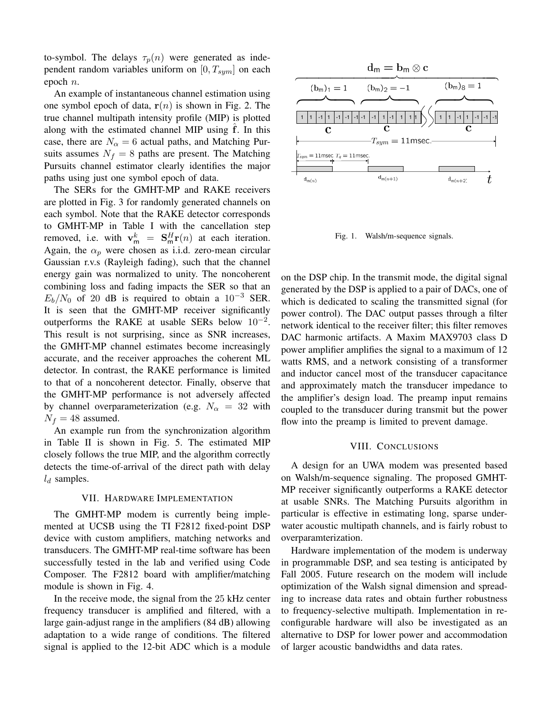to-symbol. The delays  $\tau_p(n)$  were generated as independent random variables uniform on  $[0, T_{sum}]$  on each epoch <sup>n</sup>.

An example of instantaneous channel estimation using one symbol epoch of data,  $r(n)$  is shown in Fig. 2. The true channel multipath intensity profile (MIP) is plotted along with the estimated channel MIP using ˆ**f**. In this case, there are  $N_\alpha = 6$  actual paths, and Matching Pursuits assumes  $N_f = 8$  paths are present. The Matching Pursuits channel estimator clearly identifies the major paths using just one symbol epoch of data.

The SERs for the GMHT-MP and RAKE receivers are plotted in Fig. 3 for randomly generated channels on each symbol. Note that the RAKE detector corresponds to GMHT-MP in Table I with the cancellation step removed, i.e. with  $\mathbf{v}_m^k = \mathbf{S}_m^H \mathbf{r}(n)$  at each iteration.<br>Again the  $\alpha$  were chosen as i.i.d. zero-mean circular Again, the  $\alpha_p$  were chosen as i.i.d. zero-mean circular Gaussian r.v.s (Rayleigh fading), such that the channel energy gain was normalized to unity. The noncoherent combining loss and fading impacts the SER so that an  $E_b/N_0$  of 20 dB is required to obtain a 10<sup>-3</sup> SER. It is seen that the GMHT-MP receiver significantly outperforms the RAKE at usable SERs below  $10^{-2}$ . This result is not surprising, since as SNR increases, the GMHT-MP channel estimates become increasingly accurate, and the receiver approaches the coherent ML detector. In contrast, the RAKE performance is limited to that of a noncoherent detector. Finally, observe that the GMHT-MP performance is not adversely affected by channel overparameterization (e.g.  $N_{\alpha} = 32$  with  $N_f = 48$  assumed.

An example run from the synchronization algorithm in Table II is shown in Fig. 5. The estimated MIP closely follows the true MIP, and the algorithm correctly detects the time-of-arrival of the direct path with delay  $l_d$  samples.

## VII. HARDWARE IMPLEMENTATION

The GMHT-MP modem is currently being implemented at UCSB using the TI F2812 fixed-point DSP device with custom amplifiers, matching networks and transducers. The GMHT-MP real-time software has been successfully tested in the lab and verified using Code Composer. The F2812 board with amplifier/matching module is shown in Fig. 4.

In the receive mode, the signal from the 25 kHz center frequency transducer is amplified and filtered, with a large gain-adjust range in the amplifiers (84 dB) allowing adaptation to a wide range of conditions. The filtered signal is applied to the 12-bit ADC which is a module



Fig. 1. Walsh/m-sequence signals.

on the DSP chip. In the transmit mode, the digital signal generated by the DSP is applied to a pair of DACs, one of which is dedicated to scaling the transmitted signal (for power control). The DAC output passes through a filter network identical to the receiver filter; this filter removes DAC harmonic artifacts. A Maxim MAX9703 class D power amplifier amplifies the signal to a maximum of 12 watts RMS, and a network consisting of a transformer and inductor cancel most of the transducer capacitance and approximately match the transducer impedance to the amplifier's design load. The preamp input remains coupled to the transducer during transmit but the power flow into the preamp is limited to prevent damage.

## VIII. CONCLUSIONS

A design for an UWA modem was presented based on Walsh/m-sequence signaling. The proposed GMHT-MP receiver significantly outperforms a RAKE detector at usable SNRs. The Matching Pursuits algorithm in particular is effective in estimating long, sparse underwater acoustic multipath channels, and is fairly robust to overparamterization.

Hardware implementation of the modem is underway in programmable DSP, and sea testing is anticipated by Fall 2005. Future research on the modem will include optimization of the Walsh signal dimension and spreading to increase data rates and obtain further robustness to frequency-selective multipath. Implementation in reconfigurable hardware will also be investigated as an alternative to DSP for lower power and accommodation of larger acoustic bandwidths and data rates.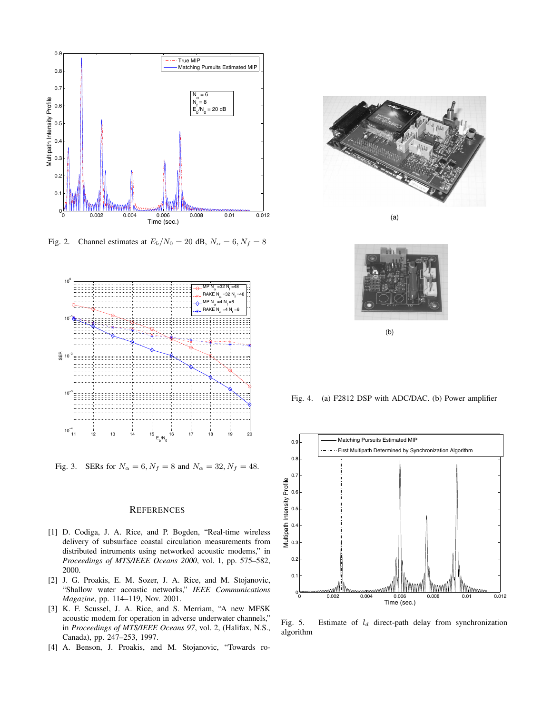

Fig. 2. Channel estimates at  $E_b/N_0 = 20$  dB,  $N_\alpha = 6, N_f = 8$ 



Fig. 3. SERs for  $N_{\alpha} = 6, N_f = 8$  and  $N_{\alpha} = 32, N_f = 48$ .

## **REFERENCES**

- [1] D. Codiga, J. A. Rice, and P. Bogden, "Real-time wireless delivery of subsurface coastal circulation measurements from distributed intruments using networked acoustic modems," in *Proceedings of MTS/IEEE Oceans 2000*, vol. 1, pp. 575–582, 2000.
- [2] J. G. Proakis, E. M. Sozer, J. A. Rice, and M. Stojanovic, "Shallow water acoustic networks," *IEEE Communications Magazine*, pp. 114–119, Nov. 2001.
- [3] K. F. Scussel, J. A. Rice, and S. Merriam, "A new MFSK acoustic modem for operation in adverse underwater channels," in *Proceedings of MTS/IEEE Oceans 97*, vol. 2, (Halifax, N.S., Canada), pp. 247–253, 1997.
- [4] A. Benson, J. Proakis, and M. Stojanovic, "Towards ro-



(a)



(b)

Fig. 4. (a) F2812 DSP with ADC/DAC. (b) Power amplifier



Fig. 5. Estimate of  $l_d$  direct-path delay from synchronization algorithm